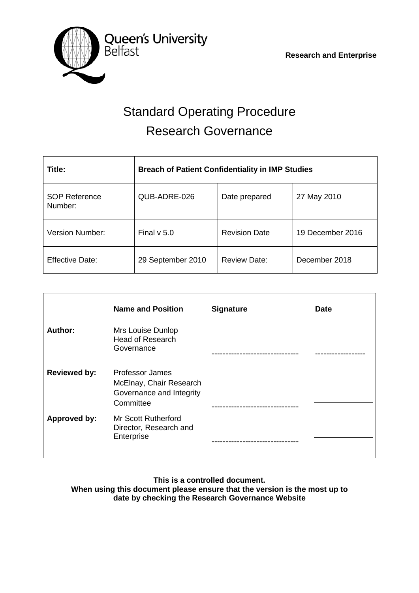

# Standard Operating Procedure Research Governance

| Title:                          | <b>Breach of Patient Confidentiality in IMP Studies</b> |                      |                  |
|---------------------------------|---------------------------------------------------------|----------------------|------------------|
| <b>SOP Reference</b><br>Number: | QUB-ADRE-026                                            | Date prepared        | 27 May 2010      |
| <b>Version Number:</b>          | Final $v$ 5.0                                           | <b>Revision Date</b> | 19 December 2016 |
| <b>Effective Date:</b>          | 29 September 2010                                       | <b>Review Date:</b>  | December 2018    |

|                     | <b>Name and Position</b>                                                                   | <b>Signature</b> | <b>Date</b> |
|---------------------|--------------------------------------------------------------------------------------------|------------------|-------------|
| Author:             | Mrs Louise Dunlop<br><b>Head of Research</b><br>Governance                                 |                  |             |
| <b>Reviewed by:</b> | <b>Professor James</b><br>McElnay, Chair Research<br>Governance and Integrity<br>Committee |                  |             |
| Approved by:        | <b>Mr Scott Rutherford</b><br>Director, Research and<br>Enterprise                         |                  |             |

**This is a controlled document. When using this document please ensure that the version is the most up to date by checking the Research Governance Website**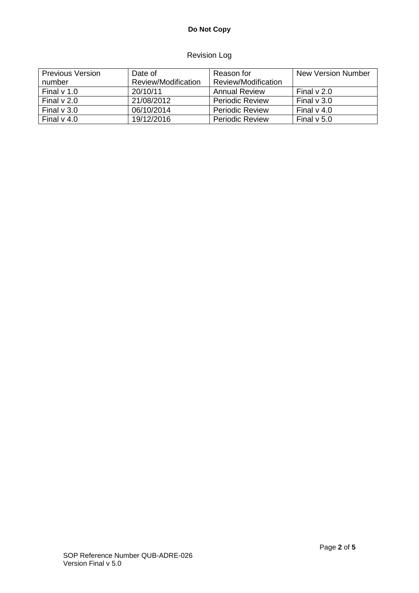# **Do Not Copy**

# Revision Log

| <b>Previous Version</b> | Date of             | Reason for             | New Version Number |
|-------------------------|---------------------|------------------------|--------------------|
| number                  | Review/Modification | Review/Modification    |                    |
| Final $v$ 1.0           | 20/10/11            | Annual Review          | Final $\vee$ 2.0   |
| Final $v$ 2.0           | 21/08/2012          | <b>Periodic Review</b> | Final $\vee$ 3.0   |
| Final $v$ 3.0           | 06/10/2014          | <b>Periodic Review</b> | Final $v$ 4.0      |
| Final $v$ 4.0           | 19/12/2016          | <b>Periodic Review</b> | Final $v$ 5.0      |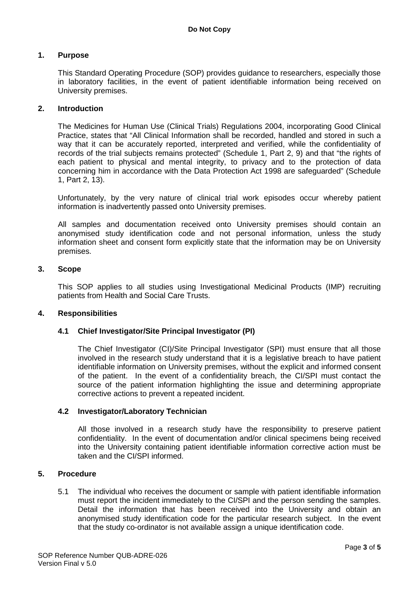## **1. Purpose**

This Standard Operating Procedure (SOP) provides guidance to researchers, especially those in laboratory facilities, in the event of patient identifiable information being received on University premises.

#### **2. Introduction**

The Medicines for Human Use (Clinical Trials) Regulations 2004, incorporating Good Clinical Practice, states that "All Clinical Information shall be recorded, handled and stored in such a way that it can be accurately reported, interpreted and verified, while the confidentiality of records of the trial subjects remains protected" (Schedule 1, Part 2, 9) and that "the rights of each patient to physical and mental integrity, to privacy and to the protection of data concerning him in accordance with the Data Protection Act 1998 are safeguarded" (Schedule 1, Part 2, 13).

Unfortunately, by the very nature of clinical trial work episodes occur whereby patient information is inadvertently passed onto University premises.

All samples and documentation received onto University premises should contain an anonymised study identification code and not personal information, unless the study information sheet and consent form explicitly state that the information may be on University premises.

#### **3. Scope**

This SOP applies to all studies using Investigational Medicinal Products (IMP) recruiting patients from Health and Social Care Trusts.

#### **4. Responsibilities**

## **4.1 Chief Investigator/Site Principal Investigator (PI)**

The Chief Investigator (CI)/Site Principal Investigator (SPI) must ensure that all those involved in the research study understand that it is a legislative breach to have patient identifiable information on University premises, without the explicit and informed consent of the patient. In the event of a confidentiality breach, the CI/SPI must contact the source of the patient information highlighting the issue and determining appropriate corrective actions to prevent a repeated incident.

#### **4.2 Investigator/Laboratory Technician**

All those involved in a research study have the responsibility to preserve patient confidentiality. In the event of documentation and/or clinical specimens being received into the University containing patient identifiable information corrective action must be taken and the CI/SPI informed.

## **5. Procedure**

5.1 The individual who receives the document or sample with patient identifiable information must report the incident immediately to the CI/SPI and the person sending the samples. Detail the information that has been received into the University and obtain an anonymised study identification code for the particular research subject. In the event that the study co-ordinator is not available assign a unique identification code.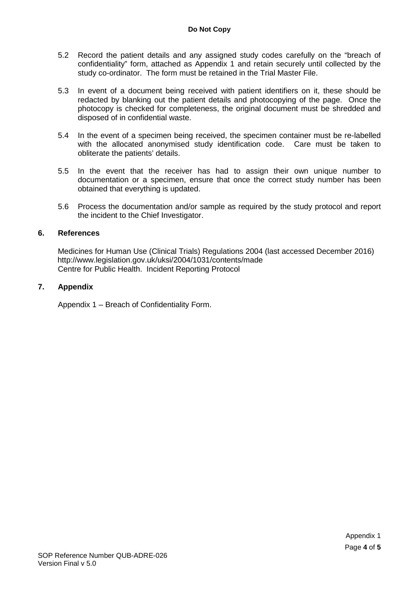#### **Do Not Copy**

- 5.2 Record the patient details and any assigned study codes carefully on the "breach of confidentiality" form, attached as Appendix 1 and retain securely until collected by the study co-ordinator. The form must be retained in the Trial Master File.
- 5.3 In event of a document being received with patient identifiers on it, these should be redacted by blanking out the patient details and photocopying of the page. Once the photocopy is checked for completeness, the original document must be shredded and disposed of in confidential waste.
- 5.4 In the event of a specimen being received, the specimen container must be re-labelled with the allocated anonymised study identification code. Care must be taken to obliterate the patients' details.
- 5.5 In the event that the receiver has had to assign their own unique number to documentation or a specimen, ensure that once the correct study number has been obtained that everything is updated.
- 5.6 Process the documentation and/or sample as required by the study protocol and report the incident to the Chief Investigator.

#### **6. References**

Medicines for Human Use (Clinical Trials) Regulations 2004 (last accessed December 2016) http://www.legislation.gov.uk/uksi/2004/1031/contents/made Centre for Public Health. Incident Reporting Protocol

## **7. Appendix**

Appendix 1 – Breach of Confidentiality Form.